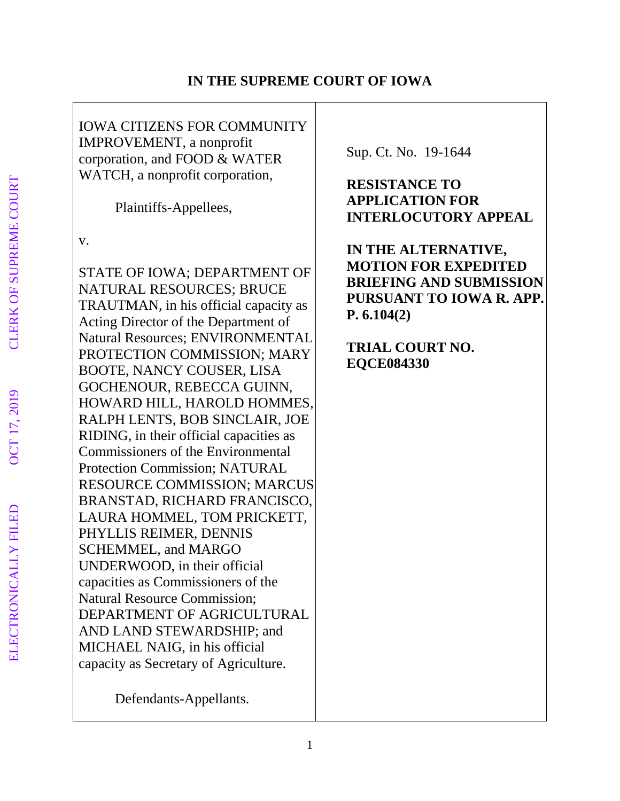## **IN THE SUPREME COURT OF IOWA**

IOWA CITIZENS FOR COMMUNITY IMPROVEMENT, a nonprofit corporation, and FOOD & WATER WATCH, a nonprofit corporation,

Plaintiffs-Appellees,

v.

STATE OF IOWA; DEPARTMENT OF NATURAL RESOURCES; BRUCE TRAUTMAN, in his official capacity as Acting Director of the Department of Natural Resources; ENVIRONMENTAL PROTECTION COMMISSION; MARY BOOTE, NANCY COUSER, LISA GOCHENOUR, REBECCA GUINN, HOWARD HILL, HAROLD HOMMES, RALPH LENTS, BOB SINCLAIR, JOE RIDING, in their official capacities as Commissioners of the Environmental Protection Commission; NATURAL RESOURCE COMMISSION; MARCUS BRANSTAD, RICHARD FRANCISCO, LAURA HOMMEL, TOM PRICKETT, PHYLLIS REIMER, DENNIS SCHEMMEL, and MARGO UNDERWOOD, in their official capacities as Commissioners of the Natural Resource Commission; DEPARTMENT OF AGRICULTURAL AND LAND STEWARDSHIP; and MICHAEL NAIG, in his official capacity as Secretary of Agriculture.

Defendants-Appellants.

Sup. Ct. No. 19-1644

# **RESISTANCE TO APPLICATION FOR INTERLOCUTORY APPEAL**

**IN THE ALTERNATIVE, MOTION FOR EXPEDITED BRIEFING AND SUBMISSION PURSUANT TO IOWA R. APP. P. 6.104(2)**

**TRIAL COURT NO. EQCE084330**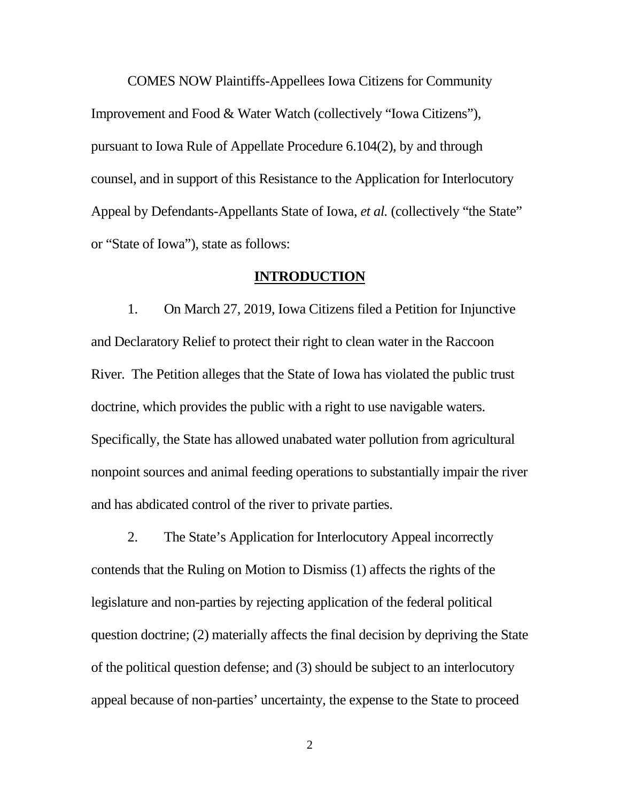COMES NOW Plaintiffs-Appellees Iowa Citizens for Community Improvement and Food & Water Watch (collectively "Iowa Citizens"), pursuant to Iowa Rule of Appellate Procedure 6.104(2), by and through counsel, and in support of this Resistance to the Application for Interlocutory Appeal by Defendants-Appellants State of Iowa, *et al.* (collectively "the State" or "State of Iowa"), state as follows:

#### **INTRODUCTION**

1. On March 27, 2019, Iowa Citizens filed a Petition for Injunctive and Declaratory Relief to protect their right to clean water in the Raccoon River. The Petition alleges that the State of Iowa has violated the public trust doctrine, which provides the public with a right to use navigable waters. Specifically, the State has allowed unabated water pollution from agricultural nonpoint sources and animal feeding operations to substantially impair the river and has abdicated control of the river to private parties.

2. The State's Application for Interlocutory Appeal incorrectly contends that the Ruling on Motion to Dismiss (1) affects the rights of the legislature and non-parties by rejecting application of the federal political question doctrine; (2) materially affects the final decision by depriving the State of the political question defense; and (3) should be subject to an interlocutory appeal because of non-parties' uncertainty, the expense to the State to proceed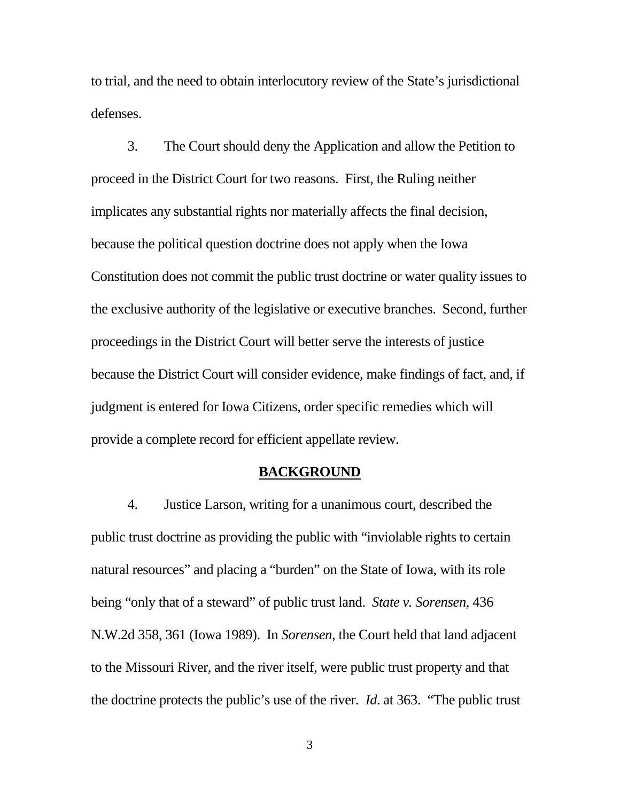to trial, and the need to obtain interlocutory review of the State's jurisdictional defenses.

3. The Court should deny the Application and allow the Petition to proceed in the District Court for two reasons. First, the Ruling neither implicates any substantial rights nor materially affects the final decision, because the political question doctrine does not apply when the Iowa Constitution does not commit the public trust doctrine or water quality issues to the exclusive authority of the legislative or executive branches. Second, further proceedings in the District Court will better serve the interests of justice because the District Court will consider evidence, make findings of fact, and, if judgment is entered for Iowa Citizens, order specific remedies which will provide a complete record for efficient appellate review.

### **BACKGROUND**

4. Justice Larson, writing for a unanimous court, described the public trust doctrine as providing the public with "inviolable rights to certain natural resources" and placing a "burden" on the State of Iowa, with its role being "only that of a steward" of public trust land. *State v. Sorensen*, 436 N.W.2d 358, 361 (Iowa 1989). In *Sorensen*, the Court held that land adjacent to the Missouri River, and the river itself, were public trust property and that the doctrine protects the public's use of the river. *Id*. at 363. "The public trust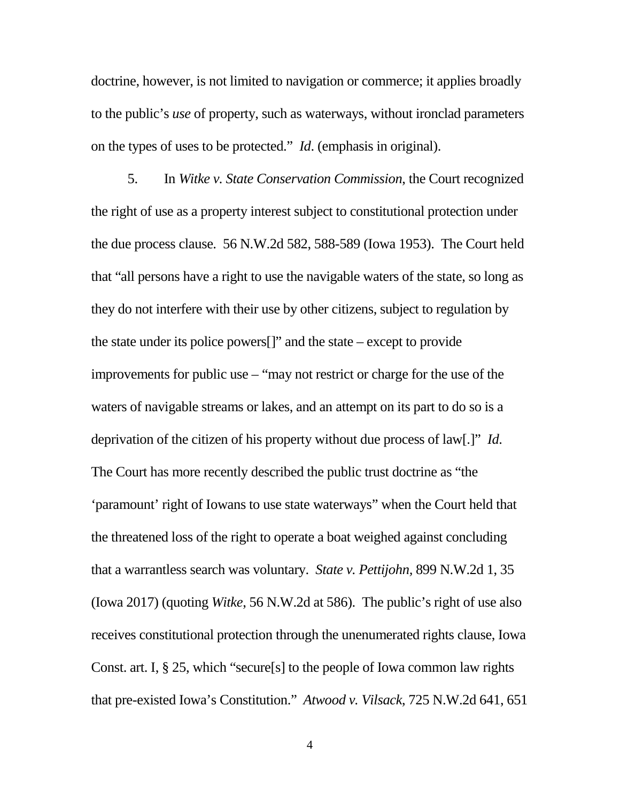doctrine, however, is not limited to navigation or commerce; it applies broadly to the public's *use* of property, such as waterways, without ironclad parameters on the types of uses to be protected." *Id*. (emphasis in original).

5. In *Witke v. State Conservation Commission*, the Court recognized the right of use as a property interest subject to constitutional protection under the due process clause. 56 N.W.2d 582, 588-589 (Iowa 1953). The Court held that "all persons have a right to use the navigable waters of the state, so long as they do not interfere with their use by other citizens, subject to regulation by the state under its police powers[]" and the state – except to provide improvements for public use – "may not restrict or charge for the use of the waters of navigable streams or lakes, and an attempt on its part to do so is a deprivation of the citizen of his property without due process of law[.]" *Id*. The Court has more recently described the public trust doctrine as "the 'paramount' right of Iowans to use state waterways" when the Court held that the threatened loss of the right to operate a boat weighed against concluding that a warrantless search was voluntary. *State v. Pettijohn,* 899 N.W.2d 1, 35 (Iowa 2017) (quoting *Witke*, 56 N.W.2d at 586). The public's right of use also receives constitutional protection through the unenumerated rights clause, Iowa Const. art. I, § 25, which "secure[s] to the people of Iowa common law rights that pre-existed Iowa's Constitution." *Atwood v. Vilsack*, 725 N.W.2d 641, 651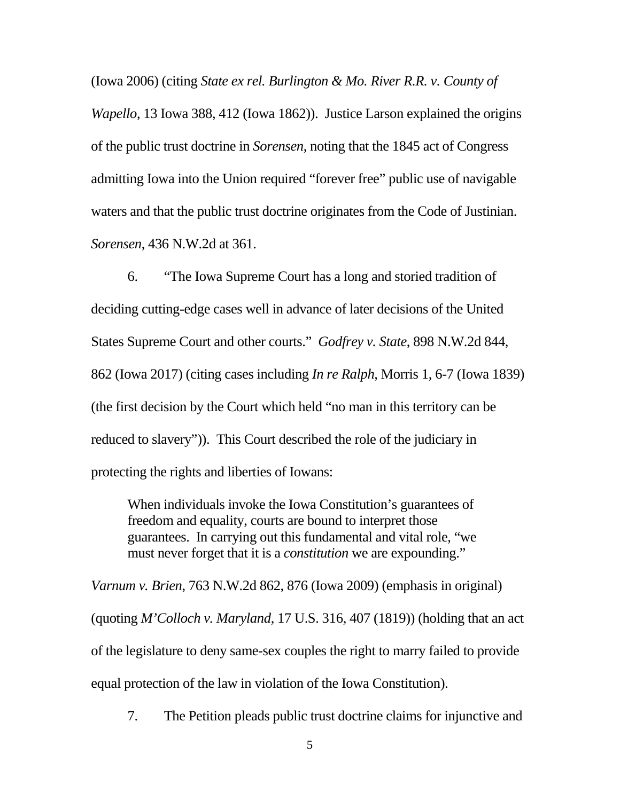(Iowa 2006) (citing *State ex rel. Burlington & Mo. River R.R. v. County of* 

*Wapello*, 13 Iowa 388, 412 (Iowa 1862)). Justice Larson explained the origins of the public trust doctrine in *Sorensen*, noting that the 1845 act of Congress admitting Iowa into the Union required "forever free" public use of navigable waters and that the public trust doctrine originates from the Code of Justinian. *Sorensen*, 436 N.W.2d at 361.

6. "The Iowa Supreme Court has a long and storied tradition of deciding cutting-edge cases well in advance of later decisions of the United States Supreme Court and other courts." *Godfrey v. State*, 898 N.W.2d 844, 862 (Iowa 2017) (citing cases including *In re Ralph*, Morris 1, 6-7 (Iowa 1839) (the first decision by the Court which held "no man in this territory can be reduced to slavery")). This Court described the role of the judiciary in protecting the rights and liberties of Iowans:

When individuals invoke the Iowa Constitution's guarantees of freedom and equality, courts are bound to interpret those guarantees. In carrying out this fundamental and vital role, "we must never forget that it is a *constitution* we are expounding."

*Varnum v. Brien*, 763 N.W.2d 862, 876 (Iowa 2009) (emphasis in original) (quoting *M'Colloch v. Maryland*, 17 U.S. 316, 407 (1819)) (holding that an act of the legislature to deny same-sex couples the right to marry failed to provide equal protection of the law in violation of the Iowa Constitution).

7. The Petition pleads public trust doctrine claims for injunctive and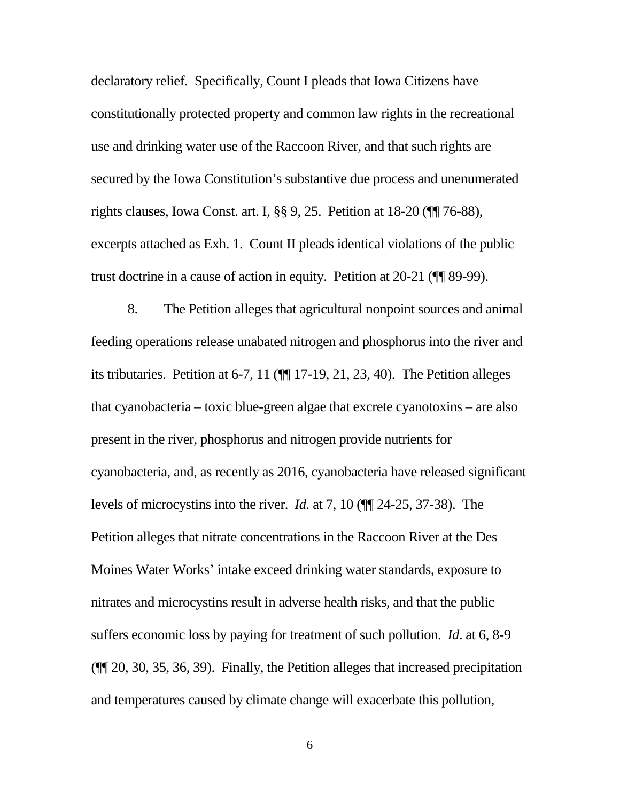declaratory relief. Specifically, Count I pleads that Iowa Citizens have constitutionally protected property and common law rights in the recreational use and drinking water use of the Raccoon River, and that such rights are secured by the Iowa Constitution's substantive due process and unenumerated rights clauses, Iowa Const. art. I, §§ 9, 25. Petition at 18-20 (¶¶ 76-88), excerpts attached as Exh. 1. Count II pleads identical violations of the public trust doctrine in a cause of action in equity. Petition at 20-21 (¶¶ 89-99).

8. The Petition alleges that agricultural nonpoint sources and animal feeding operations release unabated nitrogen and phosphorus into the river and its tributaries. Petition at 6-7, 11 (¶¶ 17-19, 21, 23, 40). The Petition alleges that cyanobacteria – toxic blue-green algae that excrete cyanotoxins – are also present in the river, phosphorus and nitrogen provide nutrients for cyanobacteria, and, as recently as 2016, cyanobacteria have released significant levels of microcystins into the river. *Id*. at 7, 10 (¶¶ 24-25, 37-38). The Petition alleges that nitrate concentrations in the Raccoon River at the Des Moines Water Works' intake exceed drinking water standards, exposure to nitrates and microcystins result in adverse health risks, and that the public suffers economic loss by paying for treatment of such pollution. *Id*. at 6, 8-9 (¶¶ 20, 30, 35, 36, 39). Finally, the Petition alleges that increased precipitation and temperatures caused by climate change will exacerbate this pollution,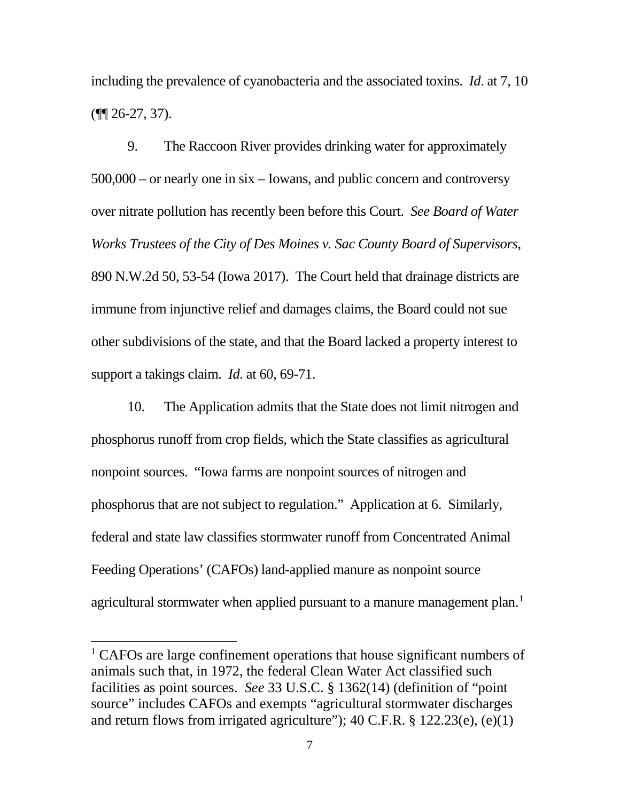including the prevalence of cyanobacteria and the associated toxins. *Id*. at 7, 10 (¶¶ 26-27, 37).

9. The Raccoon River provides drinking water for approximately 500,000 – or nearly one in six – Iowans, and public concern and controversy over nitrate pollution has recently been before this Court. *See Board of Water Works Trustees of the City of Des Moines v. Sac County Board of Supervisors*, 890 N.W.2d 50, 53-54 (Iowa 2017). The Court held that drainage districts are immune from injunctive relief and damages claims, the Board could not sue other subdivisions of the state, and that the Board lacked a property interest to support a takings claim. *Id*. at 60, 69-71.

10. The Application admits that the State does not limit nitrogen and phosphorus runoff from crop fields, which the State classifies as agricultural nonpoint sources. "Iowa farms are nonpoint sources of nitrogen and phosphorus that are not subject to regulation." Application at 6. Similarly, federal and state law classifies stormwater runoff from Concentrated Animal Feeding Operations' (CAFOs) land-applied manure as nonpoint source agricultural stormwater when applied pursuant to a manure management plan.<sup>1</sup>

<sup>&</sup>lt;sup>1</sup> CAFOs are large confinement operations that house significant numbers of animals such that, in 1972, the federal Clean Water Act classified such facilities as point sources. *See* 33 U.S.C. § 1362(14) (definition of "point source" includes CAFOs and exempts "agricultural stormwater discharges and return flows from irrigated agriculture");  $40$  C.F.R. § 122.23(e), (e)(1)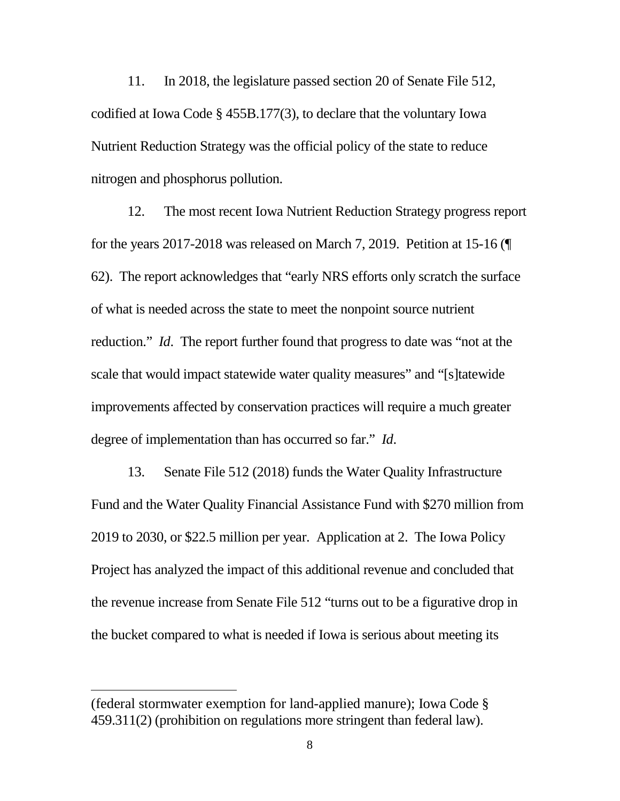11. In 2018, the legislature passed section 20 of Senate File 512, codified at Iowa Code § 455B.177(3), to declare that the voluntary Iowa Nutrient Reduction Strategy was the official policy of the state to reduce nitrogen and phosphorus pollution.

12. The most recent Iowa Nutrient Reduction Strategy progress report for the years 2017-2018 was released on March 7, 2019. Petition at 15-16 (¶ 62). The report acknowledges that "early NRS efforts only scratch the surface of what is needed across the state to meet the nonpoint source nutrient reduction." *Id*. The report further found that progress to date was "not at the scale that would impact statewide water quality measures" and "[s]tatewide improvements affected by conservation practices will require a much greater degree of implementation than has occurred so far." *Id*.

13. Senate File 512 (2018) funds the Water Quality Infrastructure Fund and the Water Quality Financial Assistance Fund with \$270 million from 2019 to 2030, or \$22.5 million per year. Application at 2. The Iowa Policy Project has analyzed the impact of this additional revenue and concluded that the revenue increase from Senate File 512 "turns out to be a figurative drop in the bucket compared to what is needed if Iowa is serious about meeting its

 $\overline{a}$ 

<sup>(</sup>federal stormwater exemption for land-applied manure); Iowa Code § 459.311(2) (prohibition on regulations more stringent than federal law).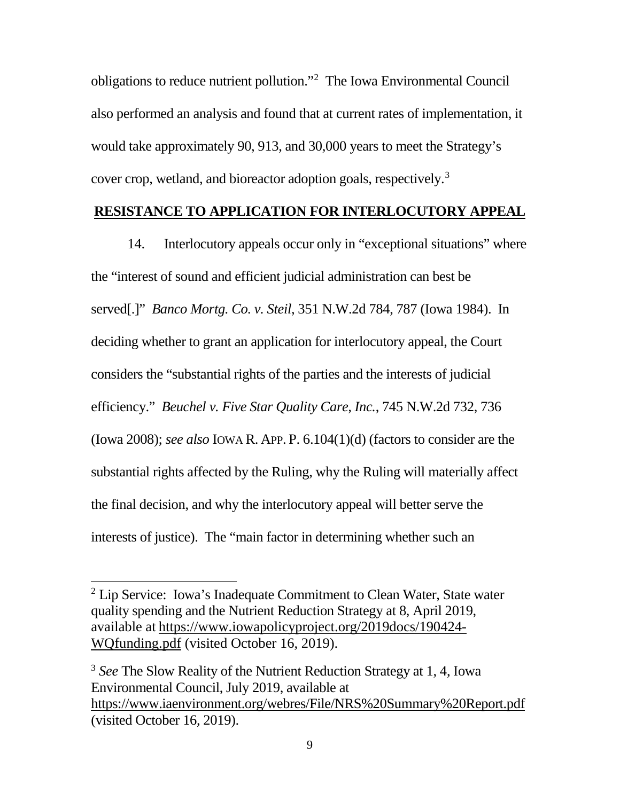obligations to reduce nutrient pollution."2 The Iowa Environmental Council also performed an analysis and found that at current rates of implementation, it would take approximately 90, 913, and 30,000 years to meet the Strategy's cover crop, wetland, and bioreactor adoption goals, respectively.<sup>3</sup>

### **RESISTANCE TO APPLICATION FOR INTERLOCUTORY APPEAL**

14. Interlocutory appeals occur only in "exceptional situations" where the "interest of sound and efficient judicial administration can best be served[.]" *Banco Mortg. Co. v. Steil*, 351 N.W.2d 784, 787 (Iowa 1984). In deciding whether to grant an application for interlocutory appeal, the Court considers the "substantial rights of the parties and the interests of judicial efficiency." *Beuchel v. Five Star Quality Care, Inc.*, 745 N.W.2d 732, 736 (Iowa 2008); *see also* IOWA R. APP. P. 6.104(1)(d) (factors to consider are the substantial rights affected by the Ruling, why the Ruling will materially affect the final decision, and why the interlocutory appeal will better serve the interests of justice). The "main factor in determining whether such an

 $2$  Lip Service: Iowa's Inadequate Commitment to Clean Water, State water quality spending and the Nutrient Reduction Strategy at 8, April 2019, available at https://www.iowapolicyproject.org/2019docs/190424- WQfunding.pdf (visited October 16, 2019).

<sup>3</sup> *See* The Slow Reality of the Nutrient Reduction Strategy at 1, 4, Iowa Environmental Council, July 2019, available at https://www.iaenvironment.org/webres/File/NRS%20Summary%20Report.pdf (visited October 16, 2019).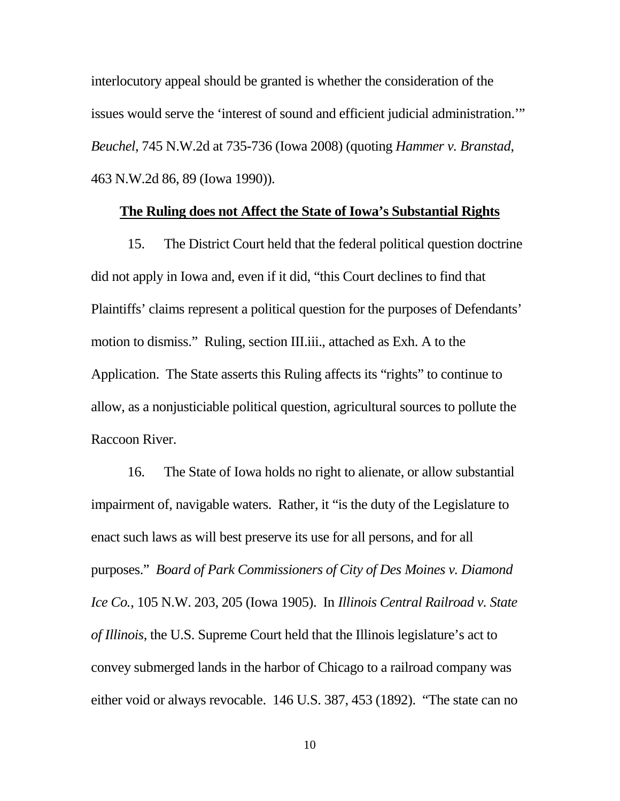interlocutory appeal should be granted is whether the consideration of the issues would serve the 'interest of sound and efficient judicial administration.'" *Beuchel*, 745 N.W.2d at 735-736 (Iowa 2008) (quoting *Hammer v. Branstad*, 463 N.W.2d 86, 89 (Iowa 1990)).

### **The Ruling does not Affect the State of Iowa's Substantial Rights**

15. The District Court held that the federal political question doctrine did not apply in Iowa and, even if it did, "this Court declines to find that Plaintiffs' claims represent a political question for the purposes of Defendants' motion to dismiss." Ruling, section III.iii., attached as Exh. A to the Application. The State asserts this Ruling affects its "rights" to continue to allow, as a nonjusticiable political question, agricultural sources to pollute the Raccoon River.

16. The State of Iowa holds no right to alienate, or allow substantial impairment of, navigable waters. Rather, it "is the duty of the Legislature to enact such laws as will best preserve its use for all persons, and for all purposes." *Board of Park Commissioners of City of Des Moines v. Diamond Ice Co.*, 105 N.W. 203, 205 (Iowa 1905). In *Illinois Central Railroad v. State of Illinois*, the U.S. Supreme Court held that the Illinois legislature's act to convey submerged lands in the harbor of Chicago to a railroad company was either void or always revocable. 146 U.S. 387, 453 (1892). "The state can no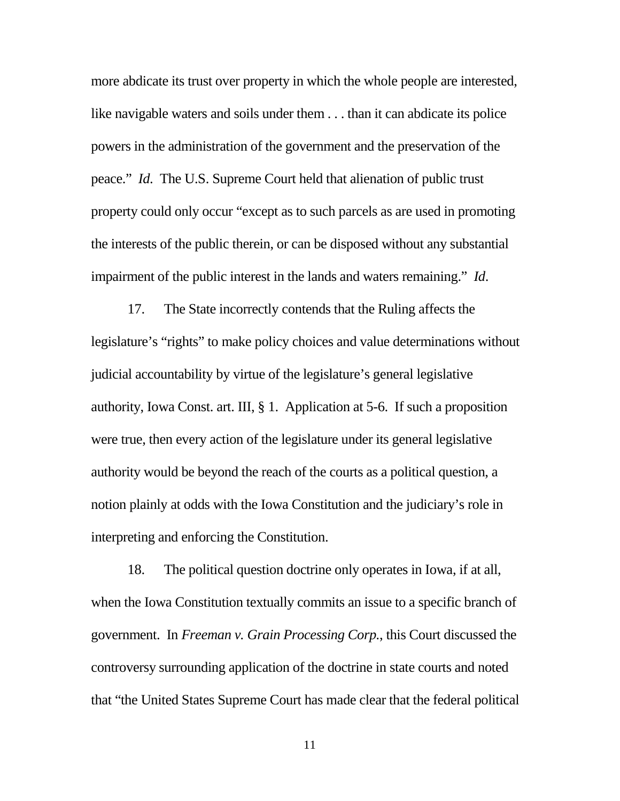more abdicate its trust over property in which the whole people are interested, like navigable waters and soils under them . . . than it can abdicate its police powers in the administration of the government and the preservation of the peace." *Id*. The U.S. Supreme Court held that alienation of public trust property could only occur "except as to such parcels as are used in promoting the interests of the public therein, or can be disposed without any substantial impairment of the public interest in the lands and waters remaining." *Id*.

17. The State incorrectly contends that the Ruling affects the legislature's "rights" to make policy choices and value determinations without judicial accountability by virtue of the legislature's general legislative authority, Iowa Const. art. III, § 1. Application at 5-6. If such a proposition were true, then every action of the legislature under its general legislative authority would be beyond the reach of the courts as a political question, a notion plainly at odds with the Iowa Constitution and the judiciary's role in interpreting and enforcing the Constitution.

18. The political question doctrine only operates in Iowa, if at all, when the Iowa Constitution textually commits an issue to a specific branch of government. In *Freeman v. Grain Processing Corp.*, this Court discussed the controversy surrounding application of the doctrine in state courts and noted that "the United States Supreme Court has made clear that the federal political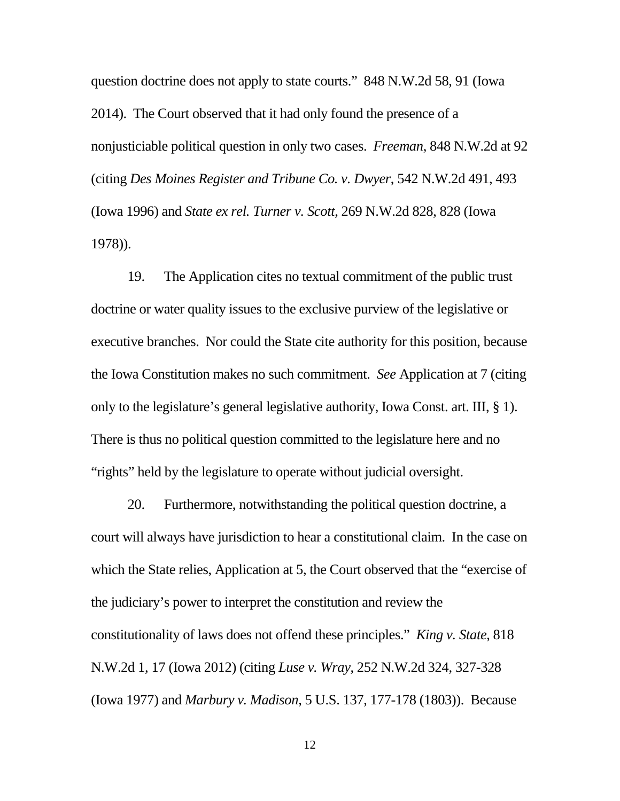question doctrine does not apply to state courts." 848 N.W.2d 58, 91 (Iowa 2014). The Court observed that it had only found the presence of a nonjusticiable political question in only two cases. *Freeman*, 848 N.W.2d at 92 (citing *Des Moines Register and Tribune Co. v. Dwyer*, 542 N.W.2d 491, 493 (Iowa 1996) and *State ex rel. Turner v. Scott*, 269 N.W.2d 828, 828 (Iowa 1978)).

19. The Application cites no textual commitment of the public trust doctrine or water quality issues to the exclusive purview of the legislative or executive branches. Nor could the State cite authority for this position, because the Iowa Constitution makes no such commitment. *See* Application at 7 (citing only to the legislature's general legislative authority, Iowa Const. art. III, § 1). There is thus no political question committed to the legislature here and no "rights" held by the legislature to operate without judicial oversight.

20. Furthermore, notwithstanding the political question doctrine, a court will always have jurisdiction to hear a constitutional claim. In the case on which the State relies, Application at 5, the Court observed that the "exercise of the judiciary's power to interpret the constitution and review the constitutionality of laws does not offend these principles." *King v. State*, 818 N.W.2d 1, 17 (Iowa 2012) (citing *Luse v. Wray*, 252 N.W.2d 324, 327-328 (Iowa 1977) and *Marbury v. Madison*, 5 U.S. 137, 177-178 (1803)). Because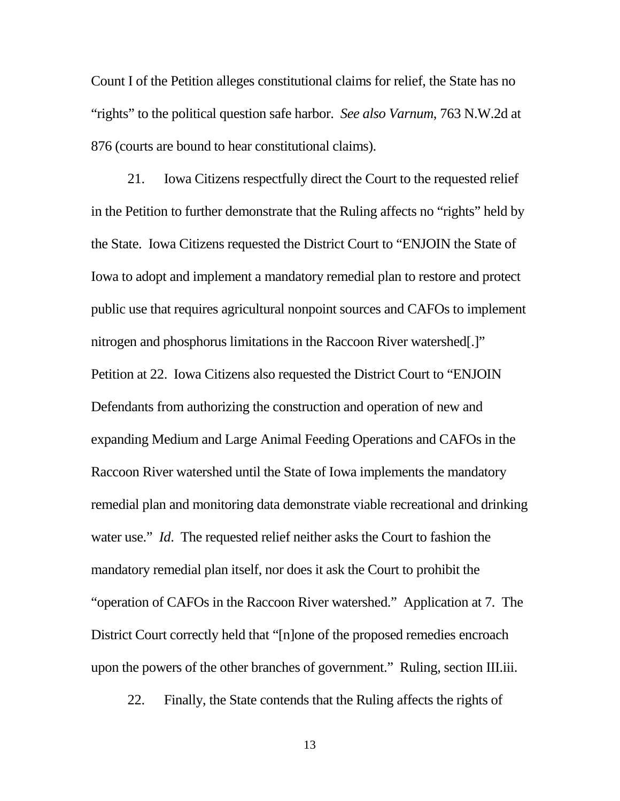Count I of the Petition alleges constitutional claims for relief, the State has no "rights" to the political question safe harbor. *See also Varnum*, 763 N.W.2d at 876 (courts are bound to hear constitutional claims).

21. Iowa Citizens respectfully direct the Court to the requested relief in the Petition to further demonstrate that the Ruling affects no "rights" held by the State. Iowa Citizens requested the District Court to "ENJOIN the State of Iowa to adopt and implement a mandatory remedial plan to restore and protect public use that requires agricultural nonpoint sources and CAFOs to implement nitrogen and phosphorus limitations in the Raccoon River watershed[.]" Petition at 22. Iowa Citizens also requested the District Court to "ENJOIN Defendants from authorizing the construction and operation of new and expanding Medium and Large Animal Feeding Operations and CAFOs in the Raccoon River watershed until the State of Iowa implements the mandatory remedial plan and monitoring data demonstrate viable recreational and drinking water use." *Id*. The requested relief neither asks the Court to fashion the mandatory remedial plan itself, nor does it ask the Court to prohibit the "operation of CAFOs in the Raccoon River watershed." Application at 7. The District Court correctly held that "[n]one of the proposed remedies encroach upon the powers of the other branches of government." Ruling, section III.iii.

22. Finally, the State contends that the Ruling affects the rights of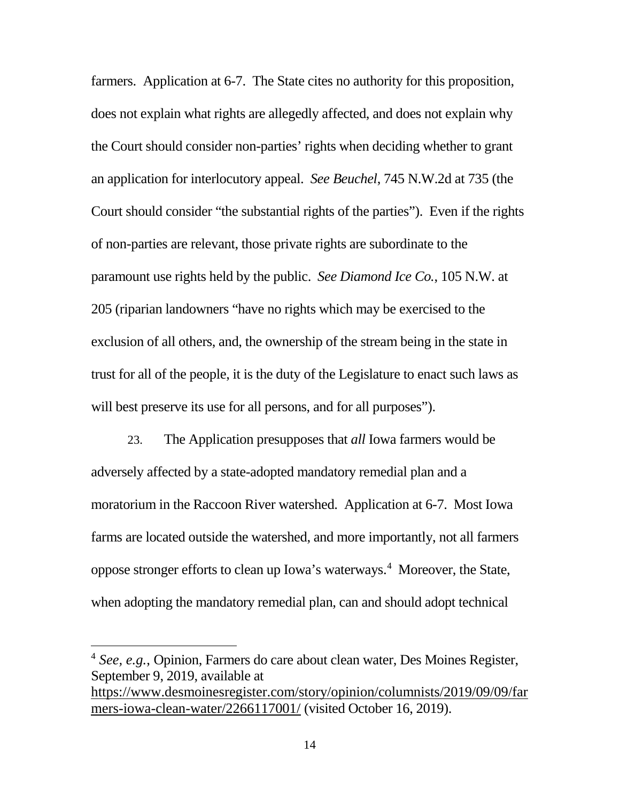farmers. Application at 6-7. The State cites no authority for this proposition, does not explain what rights are allegedly affected, and does not explain why the Court should consider non-parties' rights when deciding whether to grant an application for interlocutory appeal. *See Beuchel*, 745 N.W.2d at 735 (the Court should consider "the substantial rights of the parties"). Even if the rights of non-parties are relevant, those private rights are subordinate to the paramount use rights held by the public. *See Diamond Ice Co.*, 105 N.W. at 205 (riparian landowners "have no rights which may be exercised to the exclusion of all others, and, the ownership of the stream being in the state in trust for all of the people, it is the duty of the Legislature to enact such laws as will best preserve its use for all persons, and for all purposes".

23. The Application presupposes that *all* Iowa farmers would be adversely affected by a state-adopted mandatory remedial plan and a moratorium in the Raccoon River watershed. Application at 6-7. Most Iowa farms are located outside the watershed, and more importantly, not all farmers oppose stronger efforts to clean up Iowa's waterways. 4 Moreover, the State, when adopting the mandatory remedial plan, can and should adopt technical

 <sup>4</sup> *See, e.g.*, Opinion, Farmers do care about clean water, Des Moines Register, September 9, 2019, available at

https://www.desmoinesregister.com/story/opinion/columnists/2019/09/09/far mers-iowa-clean-water/2266117001/ (visited October 16, 2019).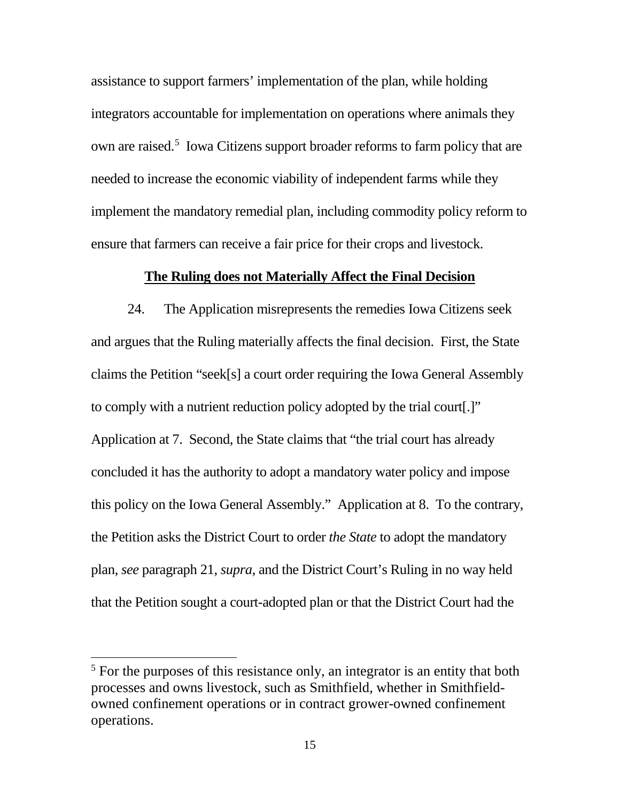assistance to support farmers' implementation of the plan, while holding integrators accountable for implementation on operations where animals they own are raised.<sup>5</sup> Iowa Citizens support broader reforms to farm policy that are needed to increase the economic viability of independent farms while they implement the mandatory remedial plan, including commodity policy reform to ensure that farmers can receive a fair price for their crops and livestock.

#### **The Ruling does not Materially Affect the Final Decision**

24. The Application misrepresents the remedies Iowa Citizens seek and argues that the Ruling materially affects the final decision. First, the State claims the Petition "seek[s] a court order requiring the Iowa General Assembly to comply with a nutrient reduction policy adopted by the trial court[.]" Application at 7. Second, the State claims that "the trial court has already concluded it has the authority to adopt a mandatory water policy and impose this policy on the Iowa General Assembly." Application at 8. To the contrary, the Petition asks the District Court to order *the State* to adopt the mandatory plan, *see* paragraph 21, *supra*, and the District Court's Ruling in no way held that the Petition sought a court-adopted plan or that the District Court had the

<sup>&</sup>lt;sup>5</sup> For the purposes of this resistance only, an integrator is an entity that both processes and owns livestock, such as Smithfield, whether in Smithfieldowned confinement operations or in contract grower-owned confinement operations.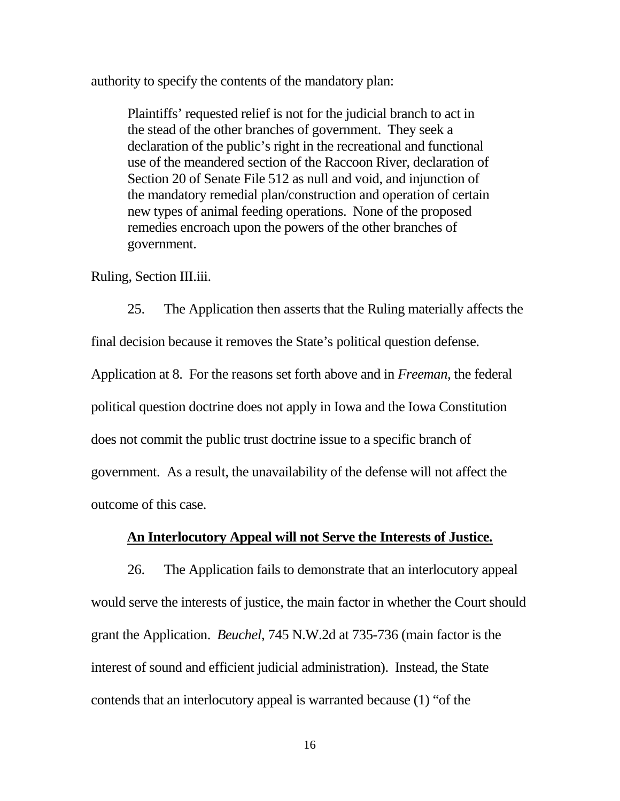authority to specify the contents of the mandatory plan:

Plaintiffs' requested relief is not for the judicial branch to act in the stead of the other branches of government. They seek a declaration of the public's right in the recreational and functional use of the meandered section of the Raccoon River, declaration of Section 20 of Senate File 512 as null and void, and injunction of the mandatory remedial plan/construction and operation of certain new types of animal feeding operations. None of the proposed remedies encroach upon the powers of the other branches of government.

Ruling, Section III.iii.

25. The Application then asserts that the Ruling materially affects the final decision because it removes the State's political question defense. Application at 8. For the reasons set forth above and in *Freeman*, the federal political question doctrine does not apply in Iowa and the Iowa Constitution does not commit the public trust doctrine issue to a specific branch of government. As a result, the unavailability of the defense will not affect the outcome of this case.

# **An Interlocutory Appeal will not Serve the Interests of Justice.**

26. The Application fails to demonstrate that an interlocutory appeal would serve the interests of justice, the main factor in whether the Court should grant the Application. *Beuchel*, 745 N.W.2d at 735-736 (main factor is the interest of sound and efficient judicial administration). Instead, the State contends that an interlocutory appeal is warranted because (1) "of the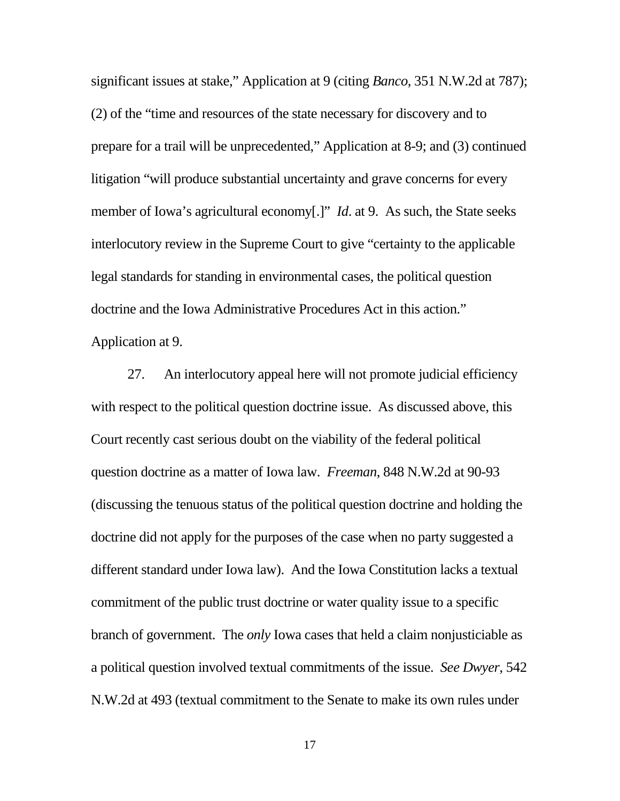significant issues at stake," Application at 9 (citing *Banco*, 351 N.W.2d at 787); (2) of the "time and resources of the state necessary for discovery and to prepare for a trail will be unprecedented," Application at 8-9; and (3) continued litigation "will produce substantial uncertainty and grave concerns for every member of Iowa's agricultural economy[.]" *Id.* at 9. As such, the State seeks interlocutory review in the Supreme Court to give "certainty to the applicable legal standards for standing in environmental cases, the political question doctrine and the Iowa Administrative Procedures Act in this action." Application at 9.

27. An interlocutory appeal here will not promote judicial efficiency with respect to the political question doctrine issue. As discussed above, this Court recently cast serious doubt on the viability of the federal political question doctrine as a matter of Iowa law. *Freeman*, 848 N.W.2d at 90-93 (discussing the tenuous status of the political question doctrine and holding the doctrine did not apply for the purposes of the case when no party suggested a different standard under Iowa law). And the Iowa Constitution lacks a textual commitment of the public trust doctrine or water quality issue to a specific branch of government. The *only* Iowa cases that held a claim nonjusticiable as a political question involved textual commitments of the issue. *See Dwyer*, 542 N.W.2d at 493 (textual commitment to the Senate to make its own rules under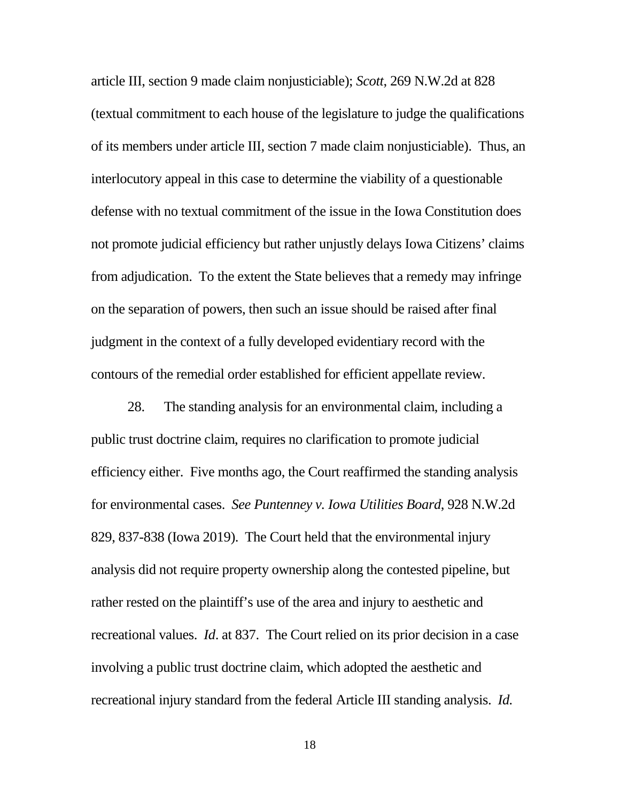article III, section 9 made claim nonjusticiable); *Scott*, 269 N.W.2d at 828 (textual commitment to each house of the legislature to judge the qualifications of its members under article III, section 7 made claim nonjusticiable). Thus, an interlocutory appeal in this case to determine the viability of a questionable defense with no textual commitment of the issue in the Iowa Constitution does not promote judicial efficiency but rather unjustly delays Iowa Citizens' claims from adjudication. To the extent the State believes that a remedy may infringe on the separation of powers, then such an issue should be raised after final judgment in the context of a fully developed evidentiary record with the contours of the remedial order established for efficient appellate review.

28. The standing analysis for an environmental claim, including a public trust doctrine claim, requires no clarification to promote judicial efficiency either. Five months ago, the Court reaffirmed the standing analysis for environmental cases. *See Puntenney v. Iowa Utilities Board*, 928 N.W.2d 829, 837-838 (Iowa 2019). The Court held that the environmental injury analysis did not require property ownership along the contested pipeline, but rather rested on the plaintiff's use of the area and injury to aesthetic and recreational values. *Id*. at 837. The Court relied on its prior decision in a case involving a public trust doctrine claim, which adopted the aesthetic and recreational injury standard from the federal Article III standing analysis. *Id.*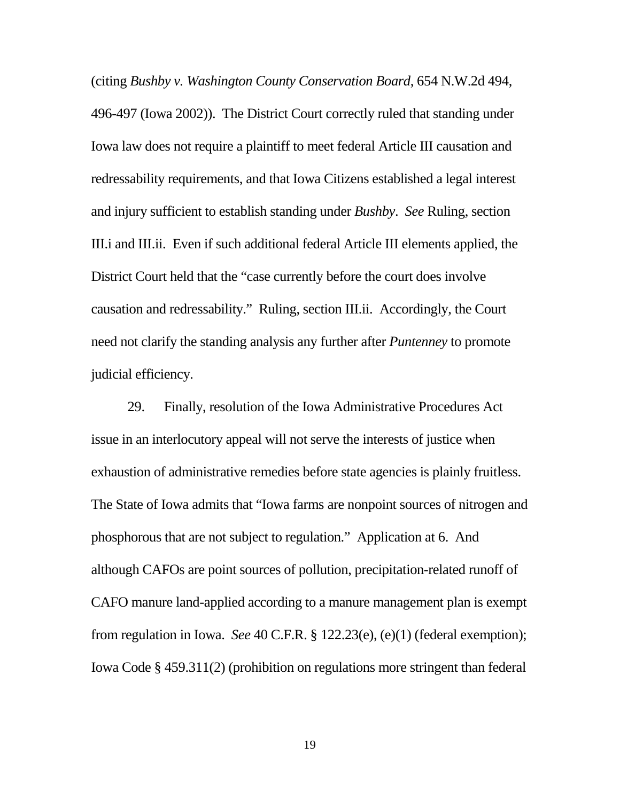(citing *Bushby v. Washington County Conservation Board*, 654 N.W.2d 494, 496-497 (Iowa 2002)). The District Court correctly ruled that standing under Iowa law does not require a plaintiff to meet federal Article III causation and redressability requirements, and that Iowa Citizens established a legal interest and injury sufficient to establish standing under *Bushby*. *See* Ruling, section III.i and III.ii. Even if such additional federal Article III elements applied, the District Court held that the "case currently before the court does involve causation and redressability." Ruling, section III.ii. Accordingly, the Court need not clarify the standing analysis any further after *Puntenney* to promote judicial efficiency.

29. Finally, resolution of the Iowa Administrative Procedures Act issue in an interlocutory appeal will not serve the interests of justice when exhaustion of administrative remedies before state agencies is plainly fruitless. The State of Iowa admits that "Iowa farms are nonpoint sources of nitrogen and phosphorous that are not subject to regulation." Application at 6. And although CAFOs are point sources of pollution, precipitation-related runoff of CAFO manure land-applied according to a manure management plan is exempt from regulation in Iowa. *See* 40 C.F.R. § 122.23(e), (e)(1) (federal exemption); Iowa Code § 459.311(2) (prohibition on regulations more stringent than federal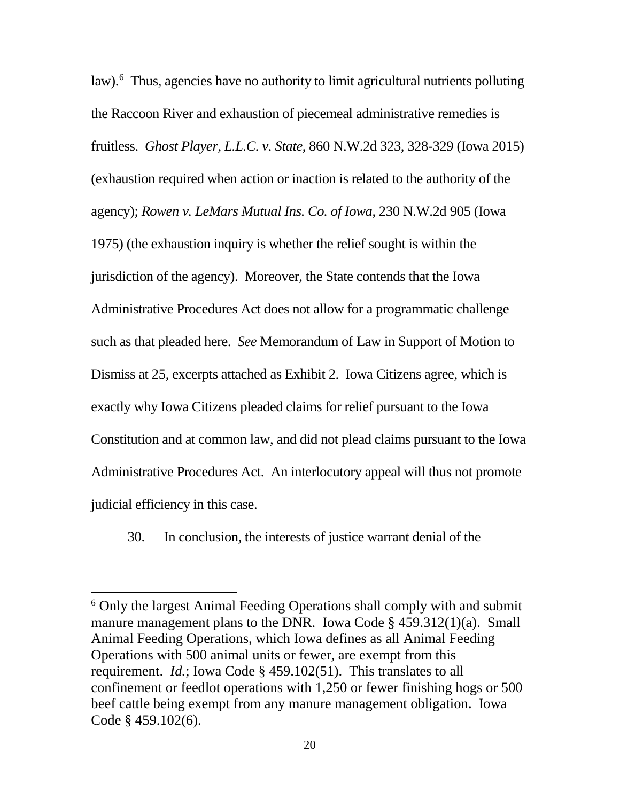law).<sup>6</sup> Thus, agencies have no authority to limit agricultural nutrients polluting the Raccoon River and exhaustion of piecemeal administrative remedies is fruitless. *Ghost Player, L.L.C. v. State*, 860 N.W.2d 323, 328-329 (Iowa 2015) (exhaustion required when action or inaction is related to the authority of the agency); *Rowen v. LeMars Mutual Ins. Co. of Iowa*, 230 N.W.2d 905 (Iowa 1975) (the exhaustion inquiry is whether the relief sought is within the jurisdiction of the agency). Moreover, the State contends that the Iowa Administrative Procedures Act does not allow for a programmatic challenge such as that pleaded here. *See* Memorandum of Law in Support of Motion to Dismiss at 25, excerpts attached as Exhibit 2. Iowa Citizens agree, which is exactly why Iowa Citizens pleaded claims for relief pursuant to the Iowa Constitution and at common law, and did not plead claims pursuant to the Iowa Administrative Procedures Act. An interlocutory appeal will thus not promote judicial efficiency in this case.

30. In conclusion, the interests of justice warrant denial of the

 <sup>6</sup> Only the largest Animal Feeding Operations shall comply with and submit manure management plans to the DNR. Iowa Code § 459.312(1)(a). Small Animal Feeding Operations, which Iowa defines as all Animal Feeding Operations with 500 animal units or fewer, are exempt from this requirement. *Id.*; Iowa Code § 459.102(51). This translates to all confinement or feedlot operations with 1,250 or fewer finishing hogs or 500 beef cattle being exempt from any manure management obligation. Iowa Code § 459.102(6).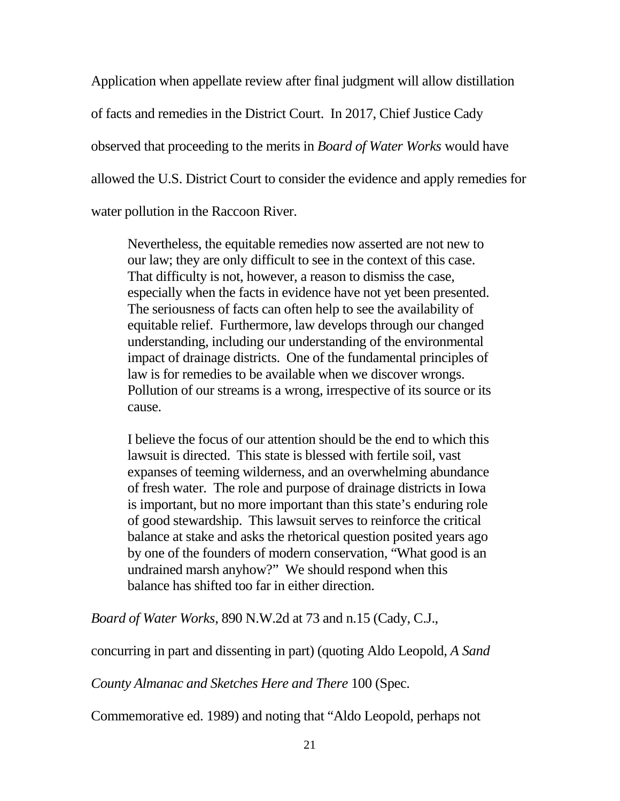Application when appellate review after final judgment will allow distillation of facts and remedies in the District Court. In 2017, Chief Justice Cady observed that proceeding to the merits in *Board of Water Works* would have allowed the U.S. District Court to consider the evidence and apply remedies for water pollution in the Raccoon River.

Nevertheless, the equitable remedies now asserted are not new to our law; they are only difficult to see in the context of this case. That difficulty is not, however, a reason to dismiss the case, especially when the facts in evidence have not yet been presented. The seriousness of facts can often help to see the availability of equitable relief. Furthermore, law develops through our changed understanding, including our understanding of the environmental impact of drainage districts. One of the fundamental principles of law is for remedies to be available when we discover wrongs. Pollution of our streams is a wrong, irrespective of its source or its cause.

I believe the focus of our attention should be the end to which this lawsuit is directed. This state is blessed with fertile soil, vast expanses of teeming wilderness, and an overwhelming abundance of fresh water. The role and purpose of drainage districts in Iowa is important, but no more important than this state's enduring role of good stewardship. This lawsuit serves to reinforce the critical balance at stake and asks the rhetorical question posited years ago by one of the founders of modern conservation, "What good is an undrained marsh anyhow?" We should respond when this balance has shifted too far in either direction.

*Board of Water Works*, 890 N.W.2d at 73 and n.15 (Cady, C.J.,

concurring in part and dissenting in part) (quoting Aldo Leopold, *A Sand* 

*County Almanac and Sketches Here and There* 100 (Spec.

Commemorative ed. 1989) and noting that "Aldo Leopold, perhaps not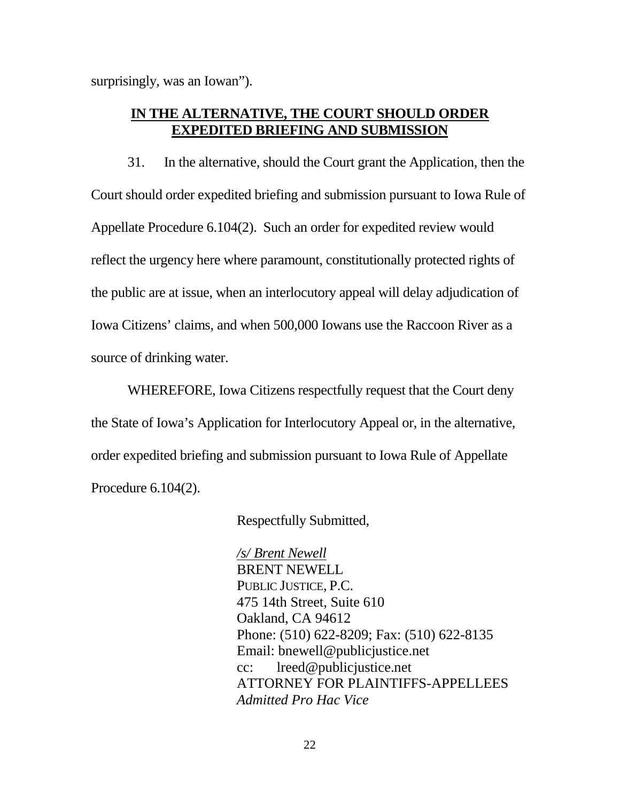surprisingly, was an Iowan").

## **IN THE ALTERNATIVE, THE COURT SHOULD ORDER EXPEDITED BRIEFING AND SUBMISSION**

31. In the alternative, should the Court grant the Application, then the Court should order expedited briefing and submission pursuant to Iowa Rule of Appellate Procedure 6.104(2). Such an order for expedited review would reflect the urgency here where paramount, constitutionally protected rights of the public are at issue, when an interlocutory appeal will delay adjudication of Iowa Citizens' claims, and when 500,000 Iowans use the Raccoon River as a source of drinking water.

WHEREFORE, Iowa Citizens respectfully request that the Court deny the State of Iowa's Application for Interlocutory Appeal or, in the alternative, order expedited briefing and submission pursuant to Iowa Rule of Appellate Procedure 6.104(2).

Respectfully Submitted,

*/s/ Brent Newell*  BRENT NEWELL PUBLIC JUSTICE, P.C. 475 14th Street, Suite 610 Oakland, CA 94612 Phone: (510) 622-8209; Fax: (510) 622-8135 Email: bnewell@publicjustice.net cc: lreed@publicjustice.net ATTORNEY FOR PLAINTIFFS-APPELLEES *Admitted Pro Hac Vice*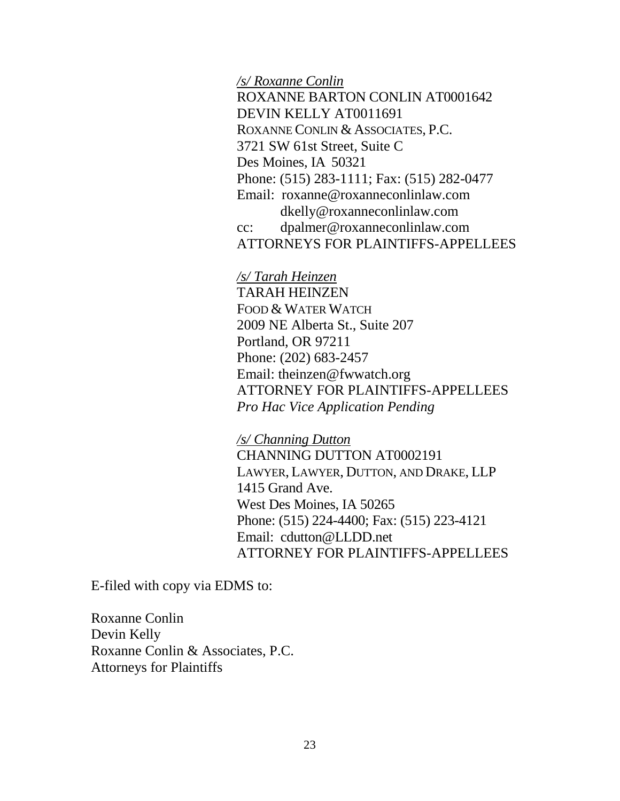*/s/ Roxanne Conlin* 

ROXANNE BARTON CONLIN AT0001642 DEVIN KELLY AT0011691 ROXANNE CONLIN & ASSOCIATES, P.C. 3721 SW 61st Street, Suite C Des Moines, IA 50321 Phone: (515) 283-1111; Fax: (515) 282-0477 Email: roxanne@roxanneconlinlaw.com dkelly@roxanneconlinlaw.com cc: dpalmer@roxanneconlinlaw.com ATTORNEYS FOR PLAINTIFFS-APPELLEES

### */s/ Tarah Heinzen*

TARAH HEINZEN FOOD & WATER WATCH 2009 NE Alberta St., Suite 207 Portland, OR 97211 Phone: (202) 683-2457 Email: theinzen@fwwatch.org ATTORNEY FOR PLAINTIFFS-APPELLEES *Pro Hac Vice Application Pending*

### */s/ Channing Dutton*

CHANNING DUTTON AT0002191 LAWYER, LAWYER, DUTTON, AND DRAKE, LLP 1415 Grand Ave. West Des Moines, IA 50265 Phone: (515) 224-4400; Fax: (515) 223-4121 Email: cdutton@LLDD.net ATTORNEY FOR PLAINTIFFS-APPELLEES

E-filed with copy via EDMS to:

Roxanne Conlin Devin Kelly Roxanne Conlin & Associates, P.C. Attorneys for Plaintiffs